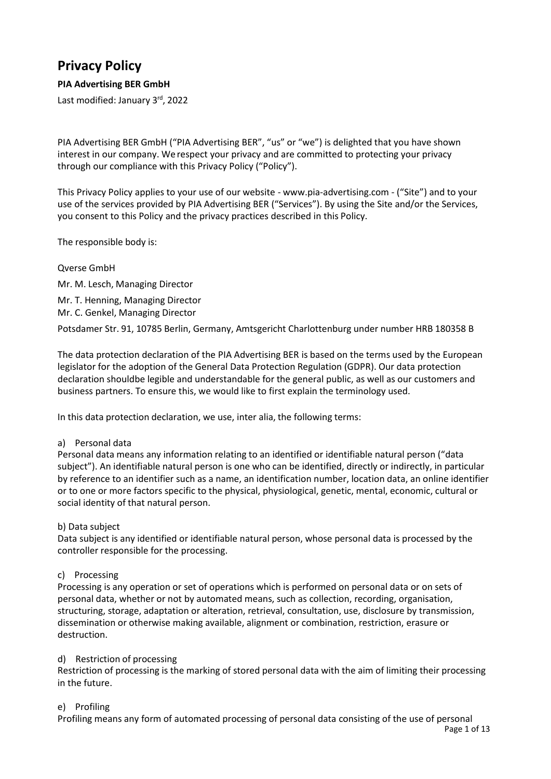# **Privacy Policy**

# **PIA Advertising BER GmbH**

Last modified: January 3<sup>rd</sup>, 2022

PIA Advertising BER GmbH ("PIA Advertising BER", "us" or "we") is delighted that you have shown interest in our company. We respect your privacy and are committed to protecting your privacy through our compliance with this Privacy Policy ("Policy").

This Privacy Policy applies to your use of our website - www.pia-advertising.com - ("Site") and to your use of the services provided by PIA Advertising BER ("Services"). By using the Site and/or the Services, you consent to this Policy and the privacy practices described in this Policy.

The responsible body is:

Qverse GmbH Mr. M. Lesch, Managing Director Mr. T. Henning, Managing Director Mr. C. Genkel, Managing Director Potsdamer Str. 91, 10785 Berlin, Germany, Amtsgericht Charlottenburg under number HRB 180358 B

The data protection declaration of the PIA Advertising BER is based on the terms used by the European legislator for the adoption of the General Data Protection Regulation (GDPR). Our data protection declaration shouldbe legible and understandable for the general public, as well as our customers and business partners. To ensure this, we would like to first explain the terminology used.

In this data protection declaration, we use, inter alia, the following terms:

# a) Personal data

Personal data means any information relating to an identified or identifiable natural person ("data subject"). An identifiable natural person is one who can be identified, directly or indirectly, in particular by reference to an identifier such as a name, an identification number, location data, an online identifier or to one or more factors specific to the physical, physiological, genetic, mental, economic, cultural or social identity of that natural person.

# b) Data subject

Data subject is any identified or identifiable natural person, whose personal data is processed by the controller responsible for the processing.

## c) Processing

Processing is any operation or set of operations which is performed on personal data or on sets of personal data, whether or not by automated means, such as collection, recording, organisation, structuring, storage, adaptation or alteration, retrieval, consultation, use, disclosure by transmission, dissemination or otherwise making available, alignment or combination, restriction, erasure or destruction.

## d) Restriction of processing

Restriction of processing is the marking of stored personal data with the aim of limiting their processing in the future.

## e) Profiling

Profiling means any form of automated processing of personal data consisting of the use of personal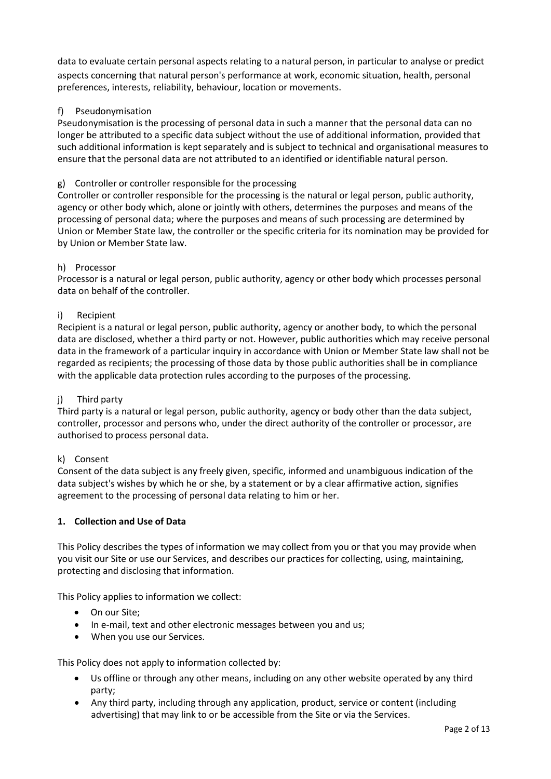data to evaluate certain personal aspects relating to a natural person, in particular to analyse or predict aspects concerning that natural person's performance at work, economic situation, health, personal preferences, interests, reliability, behaviour, location or movements.

# f) Pseudonymisation

Pseudonymisation is the processing of personal data in such a manner that the personal data can no longer be attributed to a specific data subject without the use of additional information, provided that such additional information is kept separately and is subject to technical and organisational measures to ensure that the personal data are not attributed to an identified or identifiable natural person.

## g) Controller or controller responsible for the processing

Controller or controller responsible for the processing is the natural or legal person, public authority, agency or other body which, alone or jointly with others, determines the purposes and means of the processing of personal data; where the purposes and means of such processing are determined by Union or Member State law, the controller or the specific criteria for its nomination may be provided for by Union or Member State law.

## h) Processor

Processor is a natural or legal person, public authority, agency or other body which processes personal data on behalf of the controller.

#### i) Recipient

Recipient is a natural or legal person, public authority, agency or another body, to which the personal data are disclosed, whether a third party or not. However, public authorities which may receive personal data in the framework of a particular inquiry in accordance with Union or Member State law shall not be regarded as recipients; the processing of those data by those public authorities shall be in compliance with the applicable data protection rules according to the purposes of the processing.

## j) Third party

Third party is a natural or legal person, public authority, agency or body other than the data subject, controller, processor and persons who, under the direct authority of the controller or processor, are authorised to process personal data.

## k) Consent

Consent of the data subject is any freely given, specific, informed and unambiguous indication of the data subject's wishes by which he or she, by a statement or by a clear affirmative action, signifies agreement to the processing of personal data relating to him or her.

## **1. Collection and Use of Data**

This Policy describes the types of information we may collect from you or that you may provide when you visit our Site or use our Services, and describes our practices for collecting, using, maintaining, protecting and disclosing that information.

This Policy applies to information we collect:

- On our Site;
- In e-mail, text and other electronic messages between you and us;
- When you use our Services.

This Policy does not apply to information collected by:

- Us offline or through any other means, including on any other website operated by any third party;
- Any third party, including through any application, product, service or content (including advertising) that may link to or be accessible from the Site or via the Services.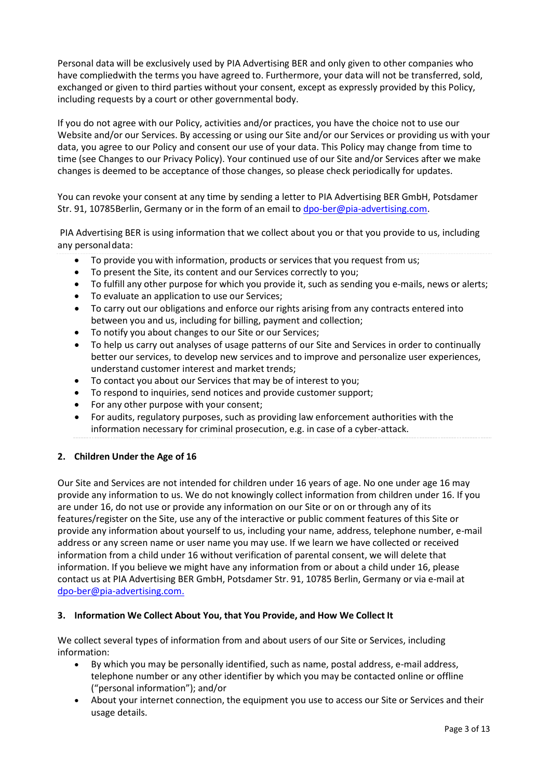Personal data will be exclusively used by PIA Advertising BER and only given to other companies who have compliedwith the terms you have agreed to. Furthermore, your data will not be transferred, sold, exchanged or given to third parties without your consent, except as expressly provided by this Policy, including requests by a court or other governmental body.

If you do not agree with our Policy, activities and/or practices, you have the choice not to use our Website and/or our Services. By accessing or using our Site and/or our Services or providing us with your data, you agree to our Policy and consent our use of your data. This Policy may change from time to time (see Changes to our Privacy Policy). Your continued use of our Site and/or Services after we make changes is deemed to be acceptance of those changes, so please check periodically for updates.

You can revoke your consent at any time by sending a letter to PIA Advertising BER GmbH, Potsdamer Str. 91, 10785Berlin, Germany or in the form of an email to [dpo-ber@pia-advertising.](mailto:dpo-ber@pia-advertising)com.

PIA Advertising BER is using information that we collect about you or that you provide to us, including any personal data:

- To provide you with information, products or services that you request from us;
- To present the Site, its content and our Services correctly to you;
- To fulfill any other purpose for which you provide it, such as sending you e-mails, news or alerts;
- To evaluate an application to use our Services;
- To carry out our obligations and enforce our rights arising from any contracts entered into between you and us, including for billing, payment and collection;
- To notify you about changes to our Site or our Services;
- To help us carry out analyses of usage patterns of our Site and Services in order to continually better our services, to develop new services and to improve and personalize user experiences, understand customer interest and market trends;
- To contact you about our Services that may be of interest to you;
- To respond to inquiries, send notices and provide customer support;
- For any other purpose with your consent;
- For audits, regulatory purposes, such as providing law enforcement authorities with the information necessary for criminal prosecution, e.g. in case of a cyber-attack.

# **2. Children Under the Age of 16**

Our Site and Services are not intended for children under 16 years of age. No one under age 16 may provide any information to us. We do not knowingly collect information from children under 16. If you are under 16, do not use or provide any information on our Site or on or through any of its features/register on the Site, use any of the interactive or public comment features of this Site or provide any information about yourself to us, including your name, address, telephone number, e-mail address or any screen name or user name you may use. If we learn we have collected or received information from a child under 16 without verification of parental consent, we will delete that information. If you believe we might have any information from or about a child under 16, please contact us at PIA Advertising BER GmbH, Potsdamer Str. 91, 10785 Berlin, Germany or via e-mail at [dpo-ber@pia-advertising.com.](mailto:dpo-ber@pia-advertising.com)

## **3. Information We Collect About You, that You Provide, and How We Collect It**

We collect several types of information from and about users of our Site or Services, including information:

- By which you may be personally identified, such as name, postal address, e-mail address, telephone number or any other identifier by which you may be contacted online or offline ("personal information"); and/or
- About your internet connection, the equipment you use to access our Site or Services and their usage details.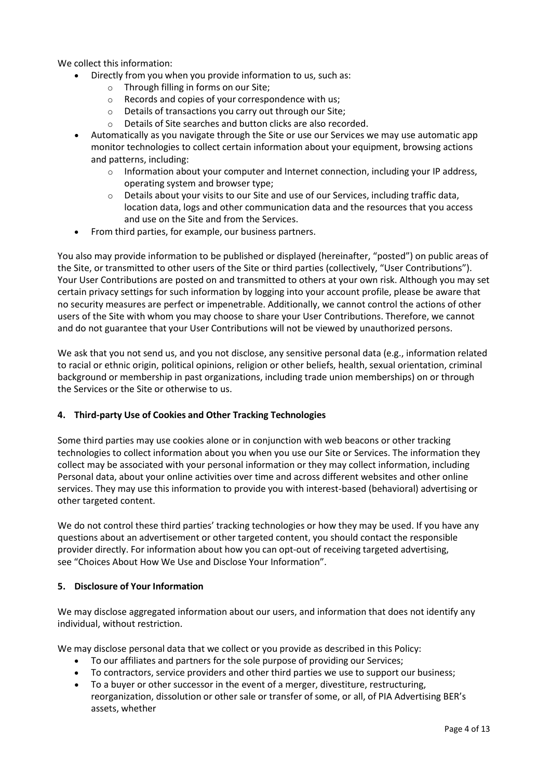We collect this information:

- Directly from you when you provide information to us, such as:
	- o Through filling in forms on our Site;
	- o Records and copies of your correspondence with us;
	- o Details of transactions you carry out through our Site;
	- o Details of Site searches and button clicks are also recorded.
	- Automatically as you navigate through the Site or use our Services we may use automatic app monitor technologies to collect certain information about your equipment, browsing actions and patterns, including:
		- $\circ$  Information about your computer and Internet connection, including your IP address, operating system and browser type;
		- $\circ$  Details about your visits to our Site and use of our Services, including traffic data, location data, logs and other communication data and the resources that you access and use on the Site and from the Services.
	- From third parties, for example, our business partners.

You also may provide information to be published or displayed (hereinafter, "posted") on public areas of the Site, or transmitted to other users of the Site or third parties (collectively, "User Contributions"). Your User Contributions are posted on and transmitted to others at your own risk. Although you may set certain privacy settings for such information by logging into your account profile, please be aware that no security measures are perfect or impenetrable. Additionally, we cannot control the actions of other users of the Site with whom you may choose to share your User Contributions. Therefore, we cannot and do not guarantee that your User Contributions will not be viewed by unauthorized persons.

We ask that you not send us, and you not disclose, any sensitive personal data (e.g., information related to racial or ethnic origin, political opinions, religion or other beliefs, health, sexual orientation, criminal background or membership in past organizations, including trade union memberships) on or through the Services or the Site or otherwise to us.

## **4. Third-party Use of Cookies and Other Tracking Technologies**

Some third parties may use cookies alone or in conjunction with web beacons or other tracking technologies to collect information about you when you use our Site or Services. The information they collect may be associated with your personal information or they may collect information, including Personal data, about your online activities over time and across different websites and other online services. They may use this information to provide you with interest-based (behavioral) advertising or other targeted content.

We do not control these third parties' tracking technologies or how they may be used. If you have any questions about an advertisement or other targeted content, you should contact the responsible provider directly. For information about how you can opt-out of receiving targeted advertising, see "Choices About How We Use and Disclose Your [Information".](https://www.adjust.com/privacy_policy/)

## **5. Disclosure of Your Information**

We may disclose aggregated information about our users, and information that does not identify any individual, without restriction.

We may disclose personal data that we collect or you provide as described in this Policy:

- To our affiliates and partners for the sole purpose of providing our Services;
- To contractors, service providers and other third parties we use to support our business;
- To a buyer or other successor in the event of a merger, divestiture, restructuring, reorganization, dissolution or other sale or transfer of some, or all, of PIA Advertising BER's assets, whether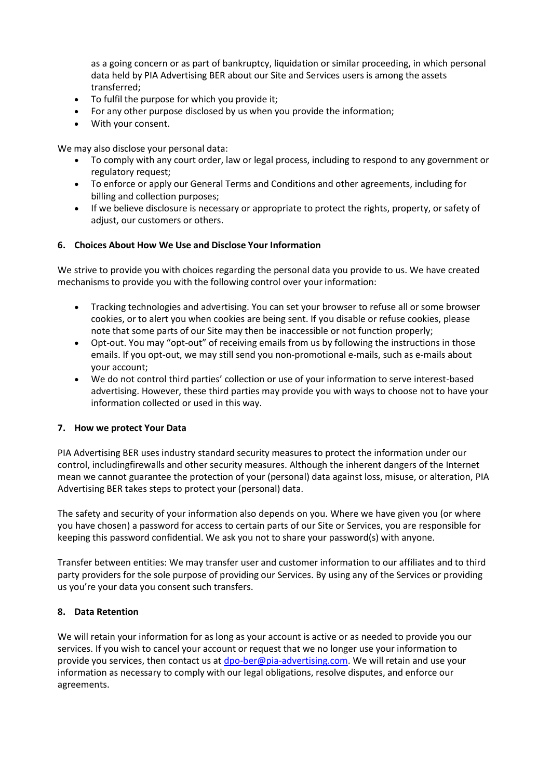as a going concern or as part of bankruptcy, liquidation or similar proceeding, in which personal data held by PIA Advertising BER about our Site and Services users is among the assets transferred;

- To fulfil the purpose for which you provide it;
- For any other purpose disclosed by us when you provide the information;
- With your consent.

We may also disclose your personal data:

- To comply with any court order, law or legal process, including to respond to any government or regulatory request;
- To enforce or apply our [General T](https://www.adjust.com/terms/)erms and Conditions and other agreements, including for billing and collection purposes;
- If we believe disclosure is necessary or appropriate to protect the rights, property, or safety of adjust, our customers or others.

## **6. Choices About How We Use and Disclose Your Information**

We strive to provide you with choices regarding the personal data you provide to us. We have created mechanisms to provide you with the following control over your information:

- Tracking technologies and advertising. You can set your browser to refuse all or some browser cookies, or to alert you when cookies are being sent. If you disable or refuse cookies, please note that some parts of our Site may then be inaccessible or not function properly;
- Opt-out. You may "opt-out" of receiving emails from us by following the instructions in those emails. If you opt-out, we may still send you non-promotional e-mails, such as e-mails about your account;
- We do not control third parties' collection or use of your information to serve interest-based advertising. However, these third parties may provide you with ways to choose not to have your information collected or used in this way.

## **7. How we protect Your Data**

PIA Advertising BER uses industry standard security measures to protect the information under our control, includingfirewalls and other security measures. Although the inherent dangers of the Internet mean we cannot guarantee the protection of your (personal) data against loss, misuse, or alteration, PIA Advertising BER takes steps to protect your (personal) data.

The safety and security of your information also depends on you. Where we have given you (or where you have chosen) a password for access to certain parts of our Site or Services, you are responsible for keeping this password confidential. We ask you not to share your password(s) with anyone.

Transfer between entities: We may transfer user and customer information to our affiliates and to third party providers for the sole purpose of providing our Services. By using any of the Services or providing us you're your data you consent such transfers.

## **8. Data Retention**

We will retain your information for as long as your account is active or as needed to provide you our services. If you wish to cancel your account or request that we no longer use your information to provide you services, then contact us at [dpo-ber@pia-advertising.](mailto:dpo-ber@pia-advertising)com. We will retain and use your information as necessary to comply with our legal obligations, resolve disputes, and enforce our agreements.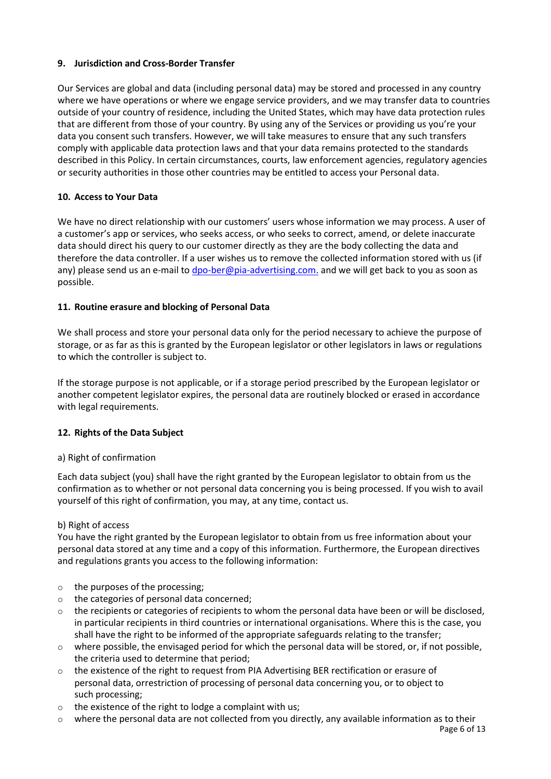# **9. Jurisdiction and Cross-Border Transfer**

Our Services are global and data (including personal data) may be stored and processed in any country where we have operations or where we engage service providers, and we may transfer data to countries outside of your country of residence, including the United States, which may have data protection rules that are different from those of your country. By using any of the Services or providing us you're your data you consent such transfers. However, we will take measures to ensure that any such transfers comply with applicable data protection laws and that your data remains protected to the standards described in this Policy. In certain circumstances, courts, law enforcement agencies, regulatory agencies or security authorities in those other countries may be entitled to access your Personal data.

## **10. Access to Your Data**

We have no direct relationship with our customers' users whose information we may process. A user of a customer's app or services, who seeks access, or who seeks to correct, amend, or delete inaccurate data should direct his query to our customer directly as they are the body collecting the data and therefore the data controller. If a user wishes us to remove the collected information stored with us (if any) please send us an e-mail to [dpo-ber@pia-advertising.com.](mailto:dpo-ber@pia-advertising) and we will get back to you as soon as possible.

## **11. Routine erasure and blocking of Personal Data**

We shall process and store your personal data only for the period necessary to achieve the purpose of storage, or as far as this is granted by the European legislator or other legislators in laws or regulations to which the controller is subject to.

If the storage purpose is not applicable, or if a storage period prescribed by the European legislator or another competent legislator expires, the personal data are routinely blocked or erased in accordance with legal requirements.

## **12. Rights of the Data Subject**

## a) Right of confirmation

Each data subject (you) shall have the right granted by the European legislator to obtain from us the confirmation as to whether or not personal data concerning you is being processed. If you wish to avail yourself of this right of confirmation, you may, at any time, contact us.

## b) Right of access

You have the right granted by the European legislator to obtain from us free information about your personal data stored at any time and a copy of this information. Furthermore, the European directives and regulations grants you access to the following information:

- o the purposes of the processing;
- o the categories of personal data concerned;
- $\circ$  the recipients or categories of recipients to whom the personal data have been or will be disclosed, in particular recipients in third countries or international organisations. Where this is the case, you shall have the right to be informed of the appropriate safeguards relating to the transfer;
- $\circ$  where possible, the envisaged period for which the personal data will be stored, or, if not possible, the criteria used to determine that period;
- o the existence of the right to request from PIA Advertising BER rectification or erasure of personal data, orrestriction of processing of personal data concerning you, or to object to such processing;
- o the existence of the right to lodge a complaint with us;
- $\circ$  where the personal data are not collected from you directly, any available information as to their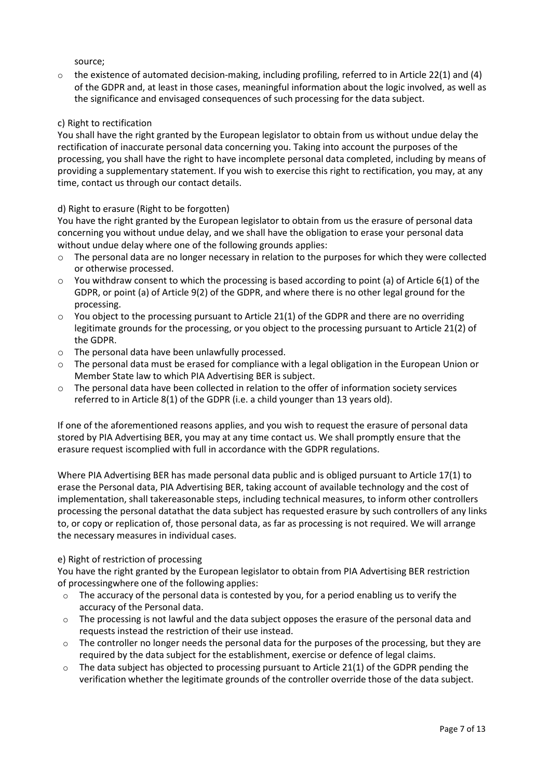source;

 $\circ$  the existence of automated decision-making, including profiling, referred to in Article 22(1) and (4) of the GDPR and, at least in those cases, meaningful information about the logic involved, as well as the significance and envisaged consequences of such processing for the data subject.

## c) Right to rectification

You shall have the right granted by the European legislator to obtain from us without undue delay the rectification of inaccurate personal data concerning you. Taking into account the purposes of the processing, you shall have the right to have incomplete personal data completed, including by means of providing a supplementary statement. If you wish to exercise this right to rectification, you may, at any time, contact us through our contact details.

## d) Right to erasure (Right to be forgotten)

You have the right granted by the European legislator to obtain from us the erasure of personal data concerning you without undue delay, and we shall have the obligation to erase your personal data without undue delay where one of the following grounds applies:

- The personal data are no longer necessary in relation to the purposes for which they were collected or otherwise processed.
- $\circ$  You withdraw consent to which the processing is based according to point (a) of Article 6(1) of the GDPR, or point (a) of Article 9(2) of the GDPR, and where there is no other legal ground for the processing.
- $\circ$  You object to the processing pursuant to Article 21(1) of the GDPR and there are no overriding legitimate grounds for the processing, or you object to the processing pursuant to Article 21(2) of the GDPR.
- o The personal data have been unlawfully processed.
- o The personal data must be erased for compliance with a legal obligation in the European Union or Member State law to which PIA Advertising BER is subject.
- o The personal data have been collected in relation to the offer of information society services referred to in Article 8(1) of the GDPR (i.e. a child younger than 13 years old).

If one of the aforementioned reasons applies, and you wish to request the erasure of personal data stored by PIA Advertising BER, you may at any time contact us. We shall promptly ensure that the erasure request iscomplied with full in accordance with the GDPR regulations.

Where PIA Advertising BER has made personal data public and is obliged pursuant to Article 17(1) to erase the Personal data, PIA Advertising BER, taking account of available technology and the cost of implementation, shall takereasonable steps, including technical measures, to inform other controllers processing the personal datathat the data subject has requested erasure by such controllers of any links to, or copy or replication of, those personal data, as far as processing is not required. We will arrange the necessary measures in individual cases.

## e) Right of restriction of processing

You have the right granted by the European legislator to obtain from PIA Advertising BER restriction of processingwhere one of the following applies:

- o The accuracy of the personal data is contested by you, for a period enabling us to verify the accuracy of the Personal data.
- $\circ$  The processing is not lawful and the data subject opposes the erasure of the personal data and requests instead the restriction of their use instead.
- $\circ$  The controller no longer needs the personal data for the purposes of the processing, but they are required by the data subject for the establishment, exercise or defence of legal claims.
- $\circ$  The data subject has objected to processing pursuant to Article 21(1) of the GDPR pending the verification whether the legitimate grounds of the controller override those of the data subject.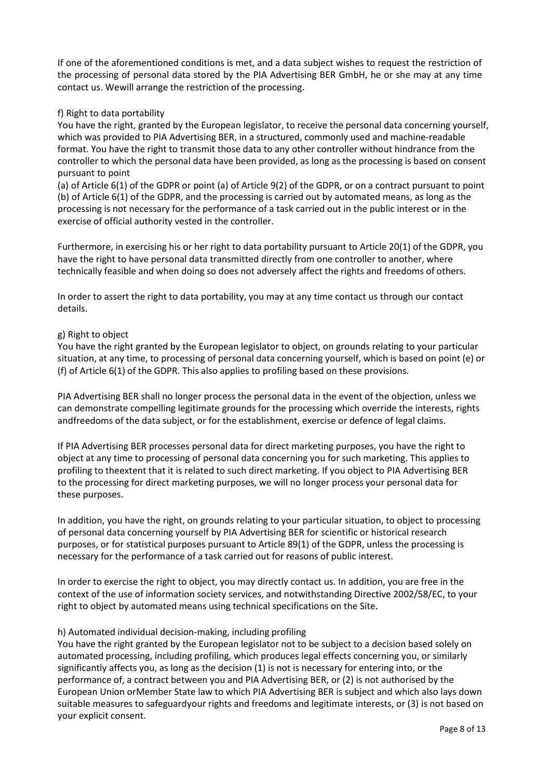If one of the aforementioned conditions is met, and a data subject wishes to request the restriction of the processing of personal data stored by the PIA Advertising BER GmbH, he or she may at any time contact us. Wewill arrange the restriction of the processing.

## f) Right to data portability

You have the right, granted by the European legislator, to receive the personal data concerning yourself, which was provided to PIA Advertising BER, in a structured, commonly used and machine-readable format. You have the right to transmit those data to any other controller without hindrance from the controller to which the personal data have been provided, as long as the processing is based on consent pursuant to point

(a) of Article 6(1) of the GDPR or point (a) of Article 9(2) of the GDPR, or on a contract pursuant to point (b) of Article 6(1) of the GDPR, and the processing is carried out by automated means, as long as the processing is not necessary for the performance of a task carried out in the public interest or in the exercise of official authority vested in the controller.

Furthermore, in exercising his or her right to data portability pursuant to Article 20(1) of the GDPR, you have the right to have personal data transmitted directly from one controller to another, where technically feasible and when doing so does not adversely affect the rights and freedoms of others.

In order to assert the right to data portability, you may at any time contact us through our contact details.

## g) Right to object

You have the right granted by the European legislator to object, on grounds relating to your particular situation, at any time, to processing of personal data concerning yourself, which is based on point (e) or (f) of Article 6(1) of the GDPR. This also applies to profiling based on these provisions.

PIA Advertising BER shall no longer process the personal data in the event of the objection, unless we can demonstrate compelling legitimate grounds for the processing which override the interests, rights andfreedoms of the data subject, or for the establishment, exercise or defence of legal claims.

If PIA Advertising BER processes personal data for direct marketing purposes, you have the right to object at any time to processing of personal data concerning you for such marketing. This applies to profiling to theextent that it is related to such direct marketing. If you object to PIA Advertising BER to the processing for direct marketing purposes, we will no longer process your personal data for these purposes.

In addition, you have the right, on grounds relating to your particular situation, to object to processing of personal data concerning yourself by PIA Advertising BER for scientific or historical research purposes, or for statistical purposes pursuant to Article 89(1) of the GDPR, unless the processing is necessary for the performance of a task carried out for reasons of public interest.

In order to exercise the right to object, you may directly contact us. In addition, you are free in the context of the use of information society services, and notwithstanding Directive 2002/58/EC, to your right to object by automated means using technical specifications on the Site.

## h) Automated individual decision-making, including profiling

You have the right granted by the European legislator not to be subject to a decision based solely on automated processing, including profiling, which produces legal effects concerning you, or similarly significantly affects you, as long as the decision (1) is not is necessary for entering into, or the performance of, a contract between you and PIA Advertising BER, or (2) is not authorised by the European Union orMember State law to which PIA Advertising BER is subject and which also lays down suitable measures to safeguardyour rights and freedoms and legitimate interests, or (3) is not based on your explicit consent.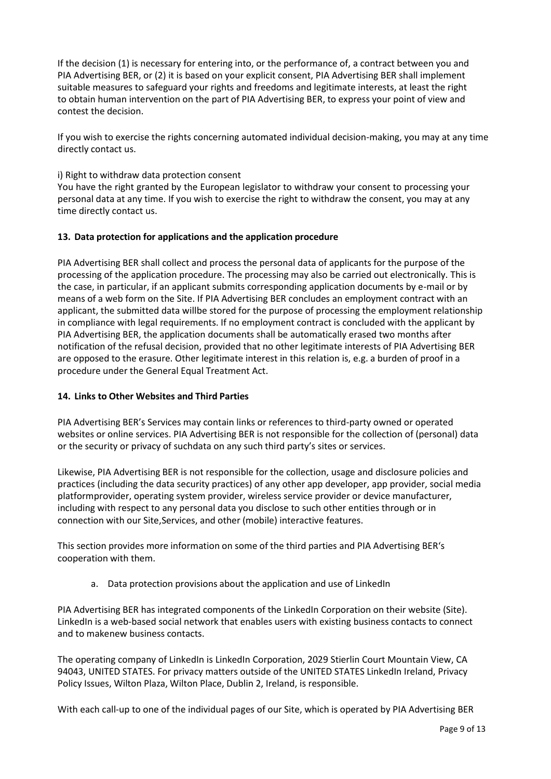If the decision (1) is necessary for entering into, or the performance of, a contract between you and PIA Advertising BER, or (2) it is based on your explicit consent, PIA Advertising BER shall implement suitable measures to safeguard your rights and freedoms and legitimate interests, at least the right to obtain human intervention on the part of PIA Advertising BER, to express your point of view and contest the decision.

If you wish to exercise the rights concerning automated individual decision-making, you may at any time directly contact us.

## i) Right to withdraw data protection consent

You have the right granted by the European legislator to withdraw your consent to processing your personal data at any time. If you wish to exercise the right to withdraw the consent, you may at any time directly contact us.

## **13. Data protection for applications and the application procedure**

PIA Advertising BER shall collect and process the personal data of applicants for the purpose of the processing of the application procedure. The processing may also be carried out electronically. This is the case, in particular, if an applicant submits corresponding application documents by e-mail or by means of a web form on the Site. If PIA Advertising BER concludes an employment contract with an applicant, the submitted data willbe stored for the purpose of processing the employment relationship in compliance with legal requirements. If no employment contract is concluded with the applicant by PIA Advertising BER, the application documents shall be automatically erased two months after notification of the refusal decision, provided that no other legitimate interests of PIA Advertising BER are opposed to the erasure. Other legitimate interest in this relation is, e.g. a burden of proof in a procedure under the General Equal Treatment Act.

## **14. Links to Other Websites and Third Parties**

PIA Advertising BER's Services may contain links or references to third-party owned or operated websites or online services. PIA Advertising BER is not responsible for the collection of (personal) data or the security or privacy of suchdata on any such third party's sites or services.

Likewise, PIA Advertising BER is not responsible for the collection, usage and disclosure policies and practices (including the data security practices) of any other app developer, app provider, social media platformprovider, operating system provider, wireless service provider or device manufacturer, including with respect to any personal data you disclose to such other entities through or in connection with our Site,Services, and other (mobile) interactive features.

This section provides more information on some of the third parties and PIA Advertising BER's cooperation with them.

a. Data protection provisions about the application and use of LinkedIn

PIA Advertising BER has integrated components of the LinkedIn Corporation on their website (Site). LinkedIn is a web-based social network that enables users with existing business contacts to connect and to makenew business contacts.

The operating company of LinkedIn is LinkedIn Corporation, 2029 Stierlin Court Mountain View, CA 94043, UNITED STATES. For privacy matters outside of the UNITED STATES LinkedIn Ireland, Privacy Policy Issues, Wilton Plaza, Wilton Place, Dublin 2, Ireland, is responsible.

With each call-up to one of the individual pages of our Site, which is operated by PIA Advertising BER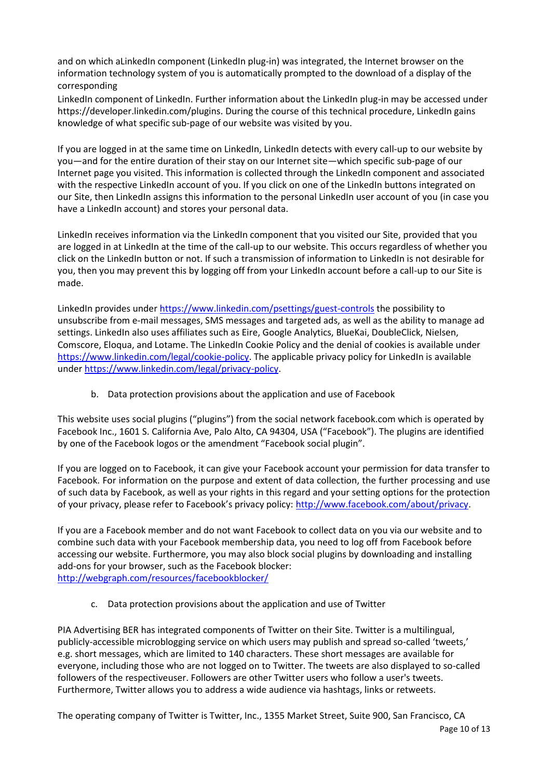and on which aLinkedIn component (LinkedIn plug-in) was integrated, the Internet browser on the information technology system of you is automatically prompted to the download of a display of the corresponding

LinkedIn component of LinkedIn. Further information about the LinkedIn plug-in may be accessed under https://developer.linkedin.com/plugins. During the course of this technical procedure, LinkedIn gains knowledge of what specific sub-page of our website was visited by you.

If you are logged in at the same time on LinkedIn, LinkedIn detects with every call-up to our website by you—and for the entire duration of their stay on our Internet site—which specific sub-page of our Internet page you visited. This information is collected through the LinkedIn component and associated with the respective LinkedIn account of you. If you click on one of the LinkedIn buttons integrated on our Site, then LinkedIn assigns this information to the personal LinkedIn user account of you (in case you have a LinkedIn account) and stores your personal data.

LinkedIn receives information via the LinkedIn component that you visited our Site, provided that you are logged in at LinkedIn at the time of the call-up to our website. This occurs regardless of whether you click on the LinkedIn button or not. If such a transmission of information to LinkedIn is not desirable for you, then you may prevent this by logging off from your LinkedIn account before a call-up to our Site is made.

LinkedIn provides unde[r https://www.linkedin.com/psettings/guest-controls](https://www.linkedin.com/psettings/guest-controls) the possibility to unsubscribe from e-mail messages, SMS messages and targeted ads, as well as the ability to manage ad settings. LinkedIn also uses affiliates such as Eire, Google Analytics, BlueKai, DoubleClick, Nielsen, Comscore, Eloqua, and Lotame. The LinkedIn Cookie Policy and the denial of cookies is available under [https://www.linkedin.com/legal/cookie-policy.](https://www.linkedin.com/legal/cookie-policy) The applicable privacy policy for LinkedIn is available under [https://www.linkedin.com/legal/privacy-policy.](https://www.linkedin.com/legal/privacy-policy)

b. Data protection provisions about the application and use of Facebook

This website uses social plugins ("plugins") from the social network facebook.com which is operated by Facebook Inc., 1601 S. California Ave, Palo Alto, CA 94304, USA ("Facebook"). The plugins are identified by one of the Facebook logos or the amendment "Facebook social plugin".

If you are logged on to Facebook, it can give your Facebook account your permission for data transfer to Facebook. For information on the purpose and extent of data collection, the further processing and use of such data by Facebook, as well as your rights in this regard and your setting options for the protection of your privacy, please refer to Facebook's privacy policy: [http://www.facebook.com/about/privacy.](http://www.facebook.com/about/privacy)

If you are a Facebook member and do not want Facebook to collect data on you via our website and to combine such data with your Facebook membership data, you need to log off from Facebook before accessing our website. Furthermore, you may also block social plugins by downloading and installing add-ons for your browser, such as the Facebook blocker: <http://webgraph.com/resources/facebookblocker/>

c. Data protection provisions about the application and use of Twitter

PIA Advertising BER has integrated components of Twitter on their Site. Twitter is a multilingual, publicly-accessible microblogging service on which users may publish and spread so-called 'tweets,' e.g. short messages, which are limited to 140 characters. These short messages are available for everyone, including those who are not logged on to Twitter. The tweets are also displayed to so-called followers of the respectiveuser. Followers are other Twitter users who follow a user's tweets. Furthermore, Twitter allows you to address a wide audience via hashtags, links or retweets.

Page 10 of 13 The operating company of Twitter is Twitter, Inc., 1355 Market Street, Suite 900, San Francisco, CA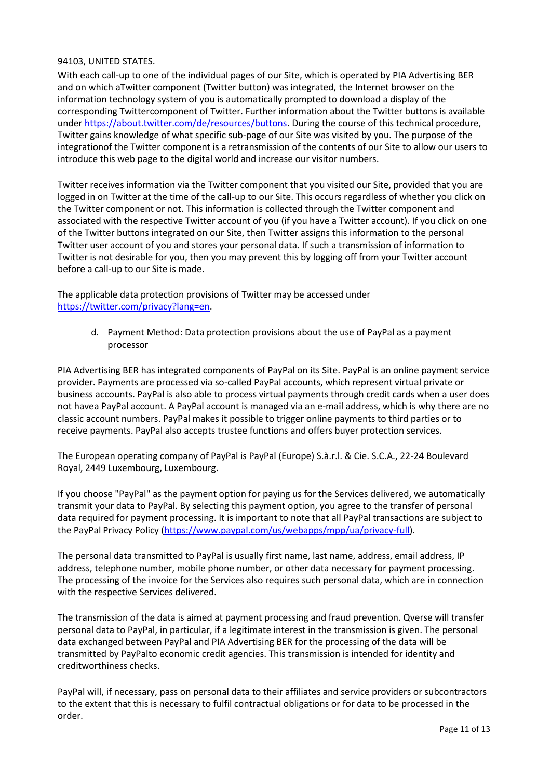## 94103, UNITED STATES.

With each call-up to one of the individual pages of our Site, which is operated by PIA Advertising BER and on which aTwitter component (Twitter button) was integrated, the Internet browser on the information technology system of you is automatically prompted to download a display of the corresponding Twittercomponent of Twitter. Further information about the Twitter buttons is available under [https://about.twitter.com/de/resources/buttons.](https://about.twitter.com/de/resources/buttons) During the course of this technical procedure, Twitter gains knowledge of what specific sub-page of our Site was visited by you. The purpose of the integrationof the Twitter component is a retransmission of the contents of our Site to allow our users to introduce this web page to the digital world and increase our visitor numbers.

Twitter receives information via the Twitter component that you visited our Site, provided that you are logged in on Twitter at the time of the call-up to our Site. This occurs regardless of whether you click on the Twitter component or not. This information is collected through the Twitter component and associated with the respective Twitter account of you (if you have a Twitter account). If you click on one of the Twitter buttons integrated on our Site, then Twitter assigns this information to the personal Twitter user account of you and stores your personal data. If such a transmission of information to Twitter is not desirable for you, then you may prevent this by logging off from your Twitter account before a call-up to our Site is made.

The applicable data protection provisions of Twitter may be accessed under [https://twitter.com/privacy?lang=en.](https://twitter.com/privacy?lang=en)

> d. Payment Method: Data protection provisions about the use of PayPal as a payment processor

PIA Advertising BER has integrated components of PayPal on its Site. PayPal is an online payment service provider. Payments are processed via so-called PayPal accounts, which represent virtual private or business accounts. PayPal is also able to process virtual payments through credit cards when a user does not havea PayPal account. A PayPal account is managed via an e-mail address, which is why there are no classic account numbers. PayPal makes it possible to trigger online payments to third parties or to receive payments. PayPal also accepts trustee functions and offers buyer protection services.

The European operating company of PayPal is PayPal (Europe) S.à.r.l. & Cie. S.C.A., 22-24 Boulevard Royal, 2449 Luxembourg, Luxembourg.

If you choose "PayPal" as the payment option for paying us for the Services delivered, we automatically transmit your data to PayPal. By selecting this payment option, you agree to the transfer of personal data required for payment processing. It is important to note that all PayPal transactions are subject to the PayPal Privacy Policy [\(https://www.paypal.com/us/webapps/mpp/ua/privacy-full\)](https://www.paypal.com/us/webapps/mpp/ua/privacy-full).

The personal data transmitted to PayPal is usually first name, last name, address, email address, IP address, telephone number, mobile phone number, or other data necessary for payment processing. The processing of the invoice for the Services also requires such personal data, which are in connection with the respective Services delivered.

The transmission of the data is aimed at payment processing and fraud prevention. Qverse will transfer personal data to PayPal, in particular, if a legitimate interest in the transmission is given. The personal data exchanged between PayPal and PIA Advertising BER for the processing of the data will be transmitted by PayPalto economic credit agencies. This transmission is intended for identity and creditworthiness checks.

PayPal will, if necessary, pass on personal data to their affiliates and service providers or subcontractors to the extent that this is necessary to fulfil contractual obligations or for data to be processed in the order.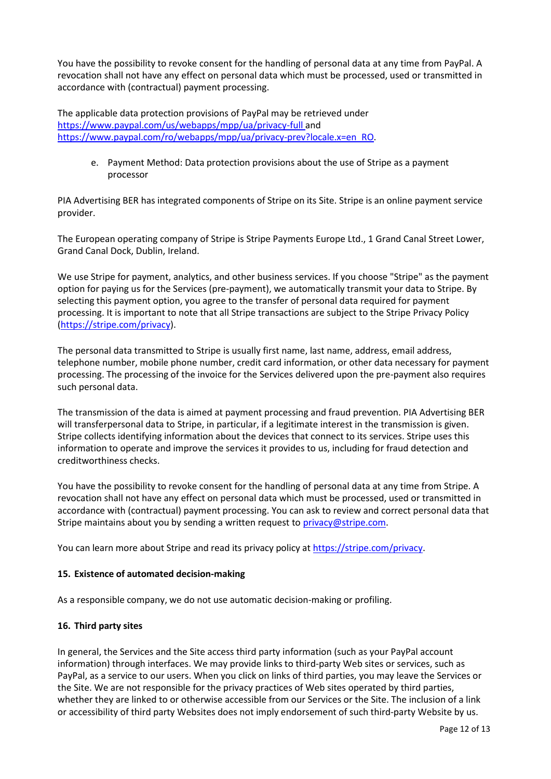You have the possibility to revoke consent for the handling of personal data at any time from PayPal. A revocation shall not have any effect on personal data which must be processed, used or transmitted in accordance with (contractual) payment processing.

The applicable data protection provisions of PayPal may be retrieved under [https://www.paypal.com/us/webapps/mpp/ua/privacy-full a](https://www.paypal.com/us/webapps/mpp/ua/privacy-full)nd https:/[/www.paypal.com/ro/webapps/mpp/ua/privacy-prev?locale.x=en\\_RO.](http://www.paypal.com/ro/webapps/mpp/ua/privacy-prev?locale.x=en_RO)

> e. Payment Method: Data protection provisions about the use of Stripe as a payment processor

PIA Advertising BER has integrated components of Stripe on its Site. Stripe is an online payment service provider.

The European operating company of Stripe is Stripe Payments Europe Ltd., 1 Grand Canal Street Lower, Grand Canal Dock, Dublin, Ireland.

We use Stripe for payment, analytics, and other business services. If you choose "Stripe" as the payment option for paying us for the Services (pre-payment), we automatically transmit your data to Stripe. By selecting this payment option, you agree to the transfer of personal data required for payment processing. It is important to note that all Stripe transactions are subject to the Stripe Privacy Policy [\(https://stripe.com/privacy\)](https://stripe.com/privacy).

The personal data transmitted to Stripe is usually first name, last name, address, email address, telephone number, mobile phone number, credit card information, or other data necessary for payment processing. The processing of the invoice for the Services delivered upon the pre-payment also requires such personal data.

The transmission of the data is aimed at payment processing and fraud prevention. PIA Advertising BER will transferpersonal data to Stripe, in particular, if a legitimate interest in the transmission is given. Stripe collects identifying information about the devices that connect to its services. Stripe uses this information to operate and improve the services it provides to us, including for fraud detection and creditworthiness checks.

You have the possibility to revoke consent for the handling of personal data at any time from Stripe. A revocation shall not have any effect on personal data which must be processed, used or transmitted in accordance with (contractual) payment processing. You can ask to review and correct personal data that Stripe maintains about you by sending a written request to [privacy@stripe.com.](mailto:privacy@stripe.com)

You can learn more about Stripe and read its privacy policy at [https://stripe.com/privacy.](https://stripe.com/privacy)

## **15. Existence of automated decision-making**

As a responsible company, we do not use automatic decision-making or profiling.

## **16. Third party sites**

In general, the Services and the Site access third party information (such as your PayPal account information) through interfaces. We may provide links to third-party Web sites or services, such as PayPal, as a service to our users. When you click on links of third parties, you may leave the Services or the Site. We are not responsible for the privacy practices of Web sites operated by third parties, whether they are linked to or otherwise accessible from our Services or the Site. The inclusion of a link or accessibility of third party Websites does not imply endorsement of such third-party Website by us.